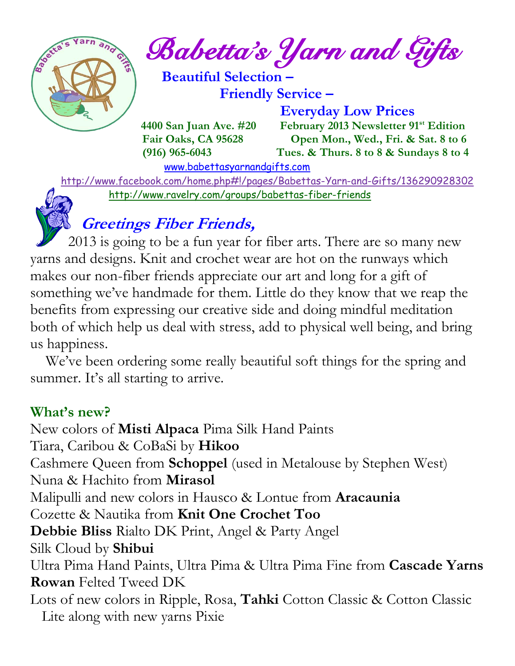

*Babetta's Yarn and Gifts* 

 **Beautiful Selection – Friendly Service –**

 **Everyday Low Prices 4400 San Juan Ave. #20 February 2013 Newsletter 91st Edition Fair Oaks, CA 95628 Open Mon., Wed., Fri. & Sat. 8 to 6 (916) 965-6043 Tues. & Thurs. 8 to 8 & Sundays 8 to 4** 

[www.babettasyarnandgifts.com](http://www.babettasyarnandgifts.com/)

 <http://www.facebook.com/home.php#!/pages/Babettas-Yarn-and-Gifts/136290928302> <http://www.ravelry.com/groups/babettas-fiber-friends>

### **Greetings Fiber Friends,**

 2013 is going to be a fun year for fiber arts. There are so many new yarns and designs. Knit and crochet wear are hot on the runways which makes our non-fiber friends appreciate our art and long for a gift of something we've handmade for them. Little do they know that we reap the benefits from expressing our creative side and doing mindful meditation both of which help us deal with stress, add to physical well being, and bring us happiness.

 We've been ordering some really beautiful soft things for the spring and summer. It's all starting to arrive.

### **What's new?**

New colors of **Misti Alpaca** Pima Silk Hand Paints Tiara, Caribou & CoBaSi by **Hikoo** Cashmere Queen from **Schoppel** (used in Metalouse by Stephen West) Nuna & Hachito from **Mirasol** Malipulli and new colors in Hausco & Lontue from **Aracaunia** Cozette & Nautika from **Knit One Crochet Too Debbie Bliss** Rialto DK Print, Angel & Party Angel Silk Cloud by **Shibui** Ultra Pima Hand Paints, Ultra Pima & Ultra Pima Fine from **Cascade Yarns Rowan** Felted Tweed DK Lots of new colors in Ripple, Rosa, **Tahki** Cotton Classic & Cotton Classic Lite along with new yarns Pixie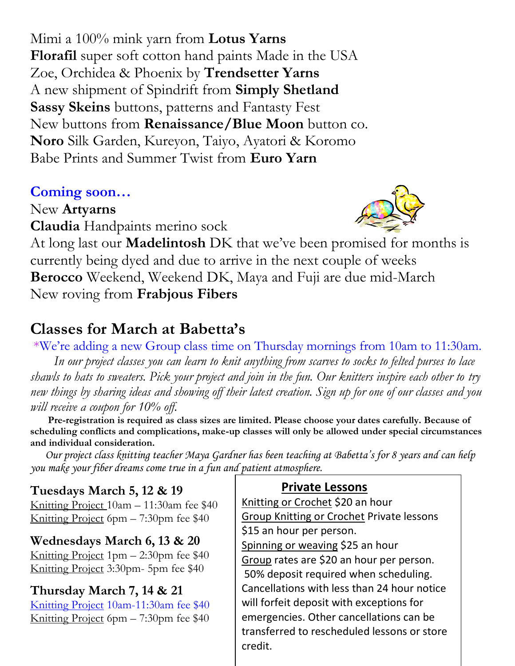Mimi a 100% mink yarn from **Lotus Yarns Florafil** super soft cotton hand paints Made in the USA Zoe, Orchidea & Phoenix by **Trendsetter Yarns** A new shipment of Spindrift from **Simply Shetland Sassy Skeins** buttons, patterns and Fantasty Fest New buttons from **Renaissance/Blue Moon** button co. **Noro** Silk Garden, Kureyon, Taiyo, Ayatori & Koromo Babe Prints and Summer Twist from **Euro Yarn**

### **Coming soon…**

New **Artyarns Claudia** Handpaints merino sock



At long last our **Madelintosh** DK that we've been promised for months is currently being dyed and due to arrive in the next couple of weeks **Berocco** Weekend, Weekend DK, Maya and Fuji are due mid-March New roving from **Frabjous Fibers**

### **Classes for March at Babetta's**

\*We're adding a new Group class time on Thursday mornings from 10am to 11:30am.  *In our project classes you can learn to knit anything from scarves to socks to felted purses to lace shawls to hats to sweaters. Pick your project and join in the fun. Our knitters inspire each other to try new things by sharing ideas and showing off their latest creation. Sign up for one of our classes and you will receive a coupon for 10% off.*

 **Pre-registration is required as class sizes are limited. Please choose your dates carefully. Because of scheduling conflicts and complications, make-up classes will only be allowed under special circumstances and individual consideration.**

*Our project class knitting teacher Maya Gardner has been teaching at Babetta's for 8 years and can help you make your fiber dreams come true in a fun and patient atmosphere.*

**Tuesdays March 5, 12 & 19** Knitting Project 10am – 11:30am fee \$40 Knitting Project 6pm – 7:30pm fee \$40

**Wednesdays March 6, 13 & 20** Knitting Project 1pm – 2:30pm fee \$40 Knitting Project 3:30pm- 5pm fee \$40

#### **Thursday March 7, 14 & 21**

Knitting Project 10am-11:30am fee \$40 Knitting Project 6pm – 7:30pm fee \$40

 **Private Lessons**  Knitting or Crochet \$20 an hour **Group Knitting or Crochet Private lessons** \$15 an hour per person. Spinning or weaving \$25 an hour Group rates are \$20 an hour per person. 50% deposit required when scheduling. Cancellations with less than 24 hour notice will forfeit deposit with exceptions for emergencies. Other cancellations can be transferred to rescheduled lessons or store credit.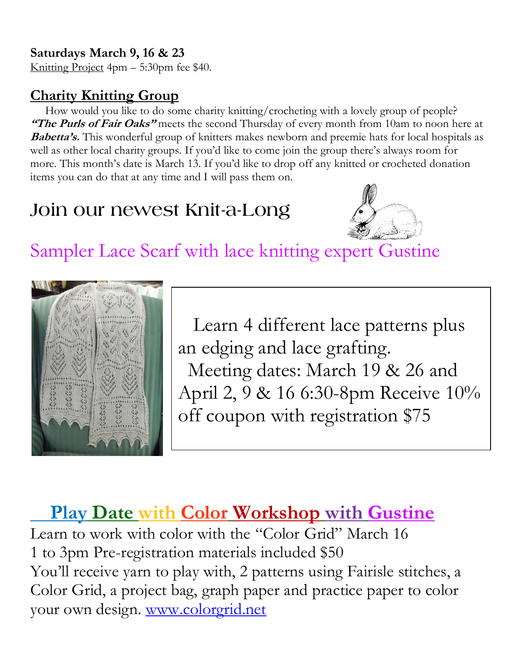#### **Saturdays March 9, 16 & 23**

Knitting Project 4pm – 5:30pm fee \$40.

### **Charity Knitting Group**

 How would you like to do some charity knitting/crocheting with a lovely group of people? "The Purls of Fair Oaks" meets the second Thursday of every month from 10am to noon here at **Babetta's.** This wonderful group of knitters makes newborn and preemie hats for local hospitals as well as other local charity groups. If you'd like to come join the group there's always room for more. This month's date is March 13. If you'd like to drop off any knitted or crocheted donation items you can do that at any time and I will pass them on.

### **Join our newest Knit-a-Long**



Sampler Lace Scarf with lace knitting expert Gustine



 Learn 4 different lace patterns plus an edging and lace grafting. Meeting dates: March 19 & 26 and April 2, 9 & 16 6:30-8pm Receive 10% off coupon with registration \$75

## **Play Date with Color Workshop with Gustine**

Learn to work with color with the "Color Grid" March 16 1 to 3pm Pre-registration materials included \$50 You'll receive yarn to play with, 2 patterns using Fairisle stitches, a Color Grid, a project bag, graph paper and practice paper to color your own design. [www.colorgrid.net](http://www.colorgrid.net/)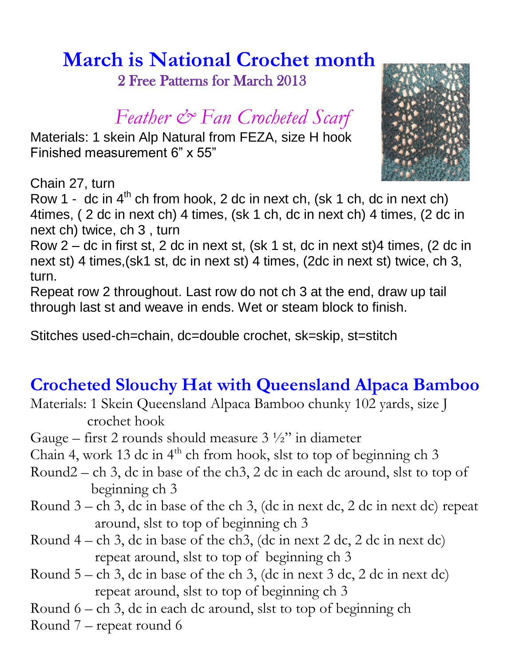# **March is National Crochet month**

2 Free Patterns for March 2013

### *Feather & Fan Crocheted Scarf*

Materials: 1 skein Alp Natural from FEZA, size H hook Finished measurement 6" x 55"



Chain 27, turn

Row 1 - dc in  $4<sup>th</sup>$  ch from hook, 2 dc in next ch, (sk 1 ch, dc in next ch) 4times, ( 2 dc in next ch) 4 times, (sk 1 ch, dc in next ch) 4 times, (2 dc in next ch) twice, ch 3 , turn

Row 2 – dc in first st, 2 dc in next st, (sk 1 st, dc in next st)4 times, (2 dc in next st) 4 times,(sk1 st, dc in next st) 4 times, (2dc in next st) twice, ch 3, turn.

Repeat row 2 throughout. Last row do not ch 3 at the end, draw up tail through last st and weave in ends. Wet or steam block to finish.

Stitches used-ch=chain, dc=double crochet, sk=skip, st=stitch

### **Crocheted Slouchy Hat with Queensland Alpaca Bamboo**

- Materials: 1 Skein Queensland Alpaca Bamboo chunky 102 yards, size J crochet hook
- Gauge first 2 rounds should measure  $3\frac{1}{2}$ " in diameter
- Chain 4, work 13 dc in  $4<sup>th</sup>$  ch from hook, slst to top of beginning ch 3
- Round2 ch 3, dc in base of the ch3, 2 dc in each dc around, slst to top of beginning ch 3
- Round 3 ch 3, dc in base of the ch 3, (dc in next dc, 2 dc in next dc) repeat around, slst to top of beginning ch 3
- Round  $4 ch$  3, dc in base of the ch3, (dc in next 2 dc, 2 dc in next dc) repeat around, slst to top of beginning ch 3
- Round  $5 ch$  3, dc in base of the ch 3, (dc in next 3 dc, 2 dc in next dc) repeat around, slst to top of beginning ch 3
- Round 6 ch 3, dc in each dc around, slst to top of beginning ch
- Round 7 repeat round 6